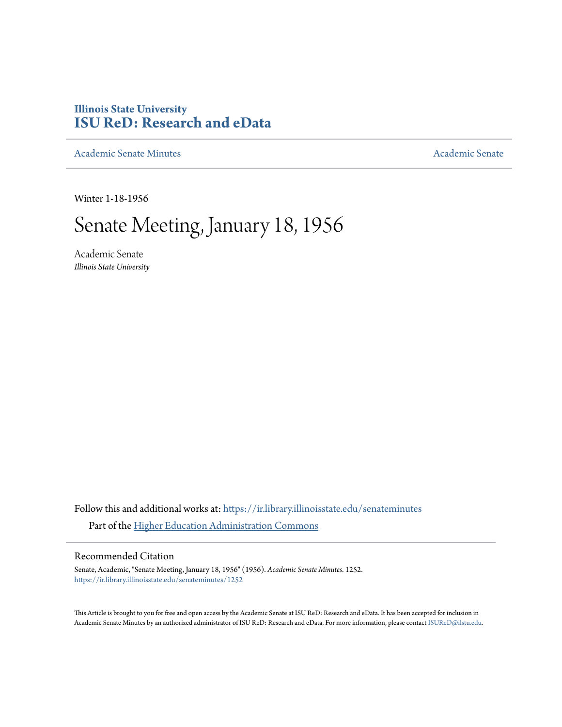# **Illinois State University [ISU ReD: Research and eData](https://ir.library.illinoisstate.edu?utm_source=ir.library.illinoisstate.edu%2Fsenateminutes%2F1252&utm_medium=PDF&utm_campaign=PDFCoverPages)**

[Academic Senate Minutes](https://ir.library.illinoisstate.edu/senateminutes?utm_source=ir.library.illinoisstate.edu%2Fsenateminutes%2F1252&utm_medium=PDF&utm_campaign=PDFCoverPages) [Academic Senate](https://ir.library.illinoisstate.edu/senate?utm_source=ir.library.illinoisstate.edu%2Fsenateminutes%2F1252&utm_medium=PDF&utm_campaign=PDFCoverPages) Academic Senate

Winter 1-18-1956

# Senate Meeting, January 18, 1956

Academic Senate *Illinois State University*

Follow this and additional works at: [https://ir.library.illinoisstate.edu/senateminutes](https://ir.library.illinoisstate.edu/senateminutes?utm_source=ir.library.illinoisstate.edu%2Fsenateminutes%2F1252&utm_medium=PDF&utm_campaign=PDFCoverPages) Part of the [Higher Education Administration Commons](http://network.bepress.com/hgg/discipline/791?utm_source=ir.library.illinoisstate.edu%2Fsenateminutes%2F1252&utm_medium=PDF&utm_campaign=PDFCoverPages)

## Recommended Citation

Senate, Academic, "Senate Meeting, January 18, 1956" (1956). *Academic Senate Minutes*. 1252. [https://ir.library.illinoisstate.edu/senateminutes/1252](https://ir.library.illinoisstate.edu/senateminutes/1252?utm_source=ir.library.illinoisstate.edu%2Fsenateminutes%2F1252&utm_medium=PDF&utm_campaign=PDFCoverPages)

This Article is brought to you for free and open access by the Academic Senate at ISU ReD: Research and eData. It has been accepted for inclusion in Academic Senate Minutes by an authorized administrator of ISU ReD: Research and eData. For more information, please contact [ISUReD@ilstu.edu.](mailto:ISUReD@ilstu.edu)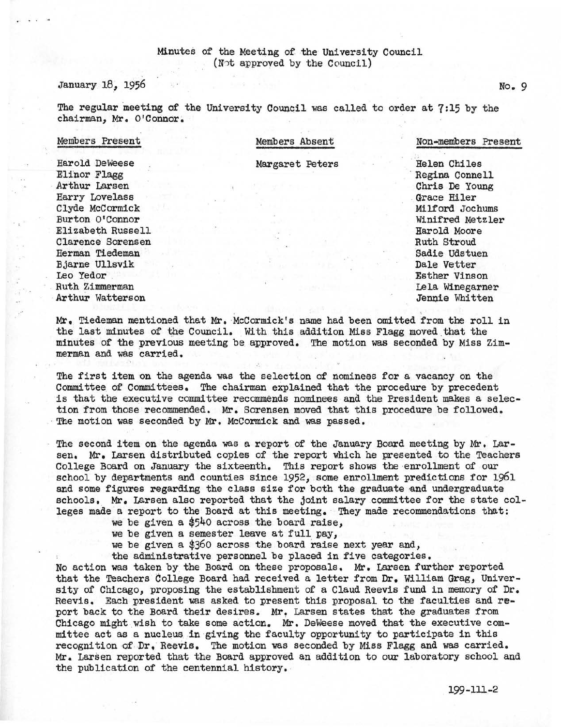### Minutes of the Meeting of the University Council (N0t approved by the Council)

### January 18, 1956

.. .. ' ..

The regular meeting of the University Council was called to order at 7:15 by the chairman, Mr. O'Connor.

#### Members Present

#### Members Absent

Margaret Peters

Helen Chiles<br>Regina Connell Chris De Young . Grace Hiler Milford Jochums Winifred Metzler Harold Moore Ruth Stroud Sadie Udstuen Dale Vetter Esther Vinson Lela Winegarner

Jennie Whitten

Non-members Present

Harold DeWeese<br>Elinor Flagg Arthur Larsen Harry Lovelass Clyde McCormick Burton O'Connor Elizabeth Russell Clarence Sorensen Herman Tiedeman Bjarne Ullsvik Leo Yedor . Ruth Zimmerman Arthur Watterson

Mr. Tiedeman mentioned that Mr. McCormick's name had been omitted from the roll in the last minutes of the Council. With this addition Miss Flagg moved that the minutes of the previous meeting be. approved. The motion was seconded by Miss Zimmerman and was carried.

The first item on the agenda was the selection of nominees for a vacancy on the Committee of Committees. The chairman explained that the procedure by precedent is that the executive committee recommends nominees and the President makes a selection from those recommended. Mr. Sorensen moved that this procedure be followed. The motion was seconded by Mr. McCormick and was passed.

The second item on the agenda was a report of the January Board meeting by Mr, Larsen. Mr. Larsen distributed copies of the report which he presented to the Teachers College Board on January the sixteenth. This report shows the enrollment of our school by departments and counties since 1952, some enrollment predictions for 1961 and some figures regarding the class size for both the graduate and undergraduate schools. Mr. Larsen also reported that the joint salary committee for the state colleges made a report to the Board at this meeting. · They made recommendations that:

we be given a \$540 across the board raise,

we be given a semester leave at full pay,

we be given a \$360 across the board raise next year and,

the administrative personnel be placed in five categories. No action was taken by the Board on these proposals. Mr. Larsen further reported that the Teachers College Board had received a letter from Dr. William Grag, University of Chicago, proposing the establishment of a Claud Reevis fund in memory of Dr. Reevis. Each president was asked to present this proposal to the faculties and **re**port back to the Board their desires. Mr. Larsen states that the graduates from Chicago might wish to take some action. Mr. Deweese moved that the executive committee act as a nucleus in giving the faculty opportunity to participate in this recognition of Dr. Reevis. The motion was seconded by Miss Flagg and was carried. Mr. Larsen reported that the Board approved an addition to our laboratory school and the publication of the centennial history,

No. 9